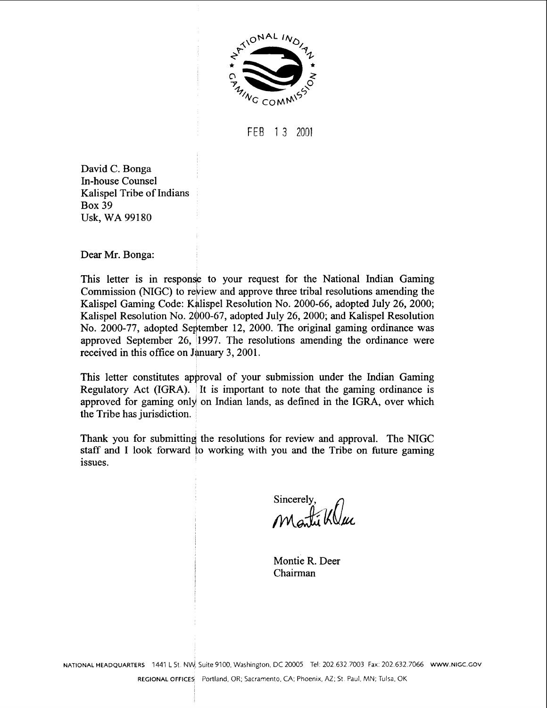

FEB 13 2001

David C. Bonga In-house Counsel Kalispel Tribe of Indians Box 39 Usk, WA 99180

Dear Mr. Bonga:

This letter is in response to your request for the National Indian Gaming Commission (NIGC) to rebiew and approve three tribal resolutions amending the Kalispel Gaming Code: Kalispel Resolution No. 2000-66, adopted July 26, 2000; Kalispel Resolution No. 2 $\phi$ 00-67, adopted July 26, 2000; and Kalispel Resolution No. 2000-77, adopted September 12, 2000. The original gaming ordinance was approved September 26, '1997. The resolutions amending the ordinance were received in this office on January 3, 2001.

This letter constitutes approval of your submission under the Indian Gaming Regulatory Act (IGRA). It is important to note that the gaming ordinance is approved for gaming only on Indian lands, as defined in the IGRA, over which the Tribe has jurisdiction.

Thank you for submitting the resolutions for review and approval. The NIGC staff and I look forward to working with you and the Tribe on future gaming issues.

Sincerely, *M&KO!* 

Montie R. Deer Chairman

**NATIONAL HEADQUARTERS** 1441 L St. NW, Suite 9100, Washington, DC 20005 Tel: 202.632.7003 Fax: 202.632.7066 WWW.NIGC.GOV

REGIONAL OFFICES Portland, OR, Sacramento, CA, Phoenix, AZ, St. Paul, MN, Tulsa, OK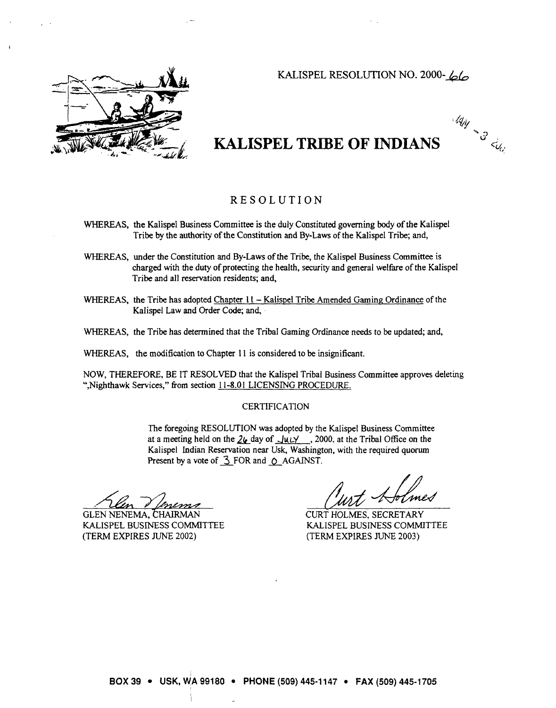## KALISPEL RESOLUTION NO. 2000-66



# **KALISPEL TRIBE OF INDIANS 3** <sup>&</sup>gt;

*(4~* **<sup>B</sup>**  $\leq_{\mathcal{U}_{C_j}}$ 

### RESOLUTION

- WHEREAS, the Kalispel Business Committee is the duly Constituted governing body of the Kalispel Tribe by the authority of the Constitution and By-Laws of the Kalispel Tribe; and,
- WHEREAS, under the Constitution and By-Laws of the Tribe, the Kalispel Business Committee is charged with the duty of protecting the health, security and general welfare of the Kalispel Tribe and all reservation residents; and,
- WHEREAS, the Tribe has adopted Chapter 11 Kalispel Tribe Amended Gaming Ordinance of the Kalispel Law and Order Code; and,
- WHEREAS, the Tribe has determined that the Tribal Gaming Ordinance needs to be updated; and,
- WHEREAS, the modification to Chapter 11 is considered to be insignificant.

NOW, THEREFORE, BE IT RESOLVED that the Kalispel Tribal Business Committee approves deleting ", Nighthawk Services," from section 11-8.01 LICENSING PROCEDURE.

#### **CERTIFICATION**

The foregoing RESOLUTION was adopted by the Kalispel Business Committee at a meeting held on the  $26$  day of  $\frac{\text{ln} \times \text{ln} \times \text{ln} \times \text{ln}}{2000}$ , at the Tribal Office on the Kalispel Indian Reservation near Usk, Washington, with the required quorum Present by a vote of  $\frac{3}{2}$  FOR and  $\frac{6}{2}$  AGAINST. e, the Kalispel Business Committee is<br>ecurity and general welfare of the Kalispel<br>be Amended Gaming Ordinance of the<br>g Ordinance needs to be updated; and,<br>be insignificant.<br>ribal Business Committee approves deleting<br>ion (O

**GLEN NENEMA, CHAIRMAN** KALISPEL BUSINESS COMMlTTEE (TERM EXPIRES JUNE 2002)

CURT HOLMES, SECRETARY KALISPEL BUSINESS COMMITTEE (TERM EXPIRES JUNE 2003)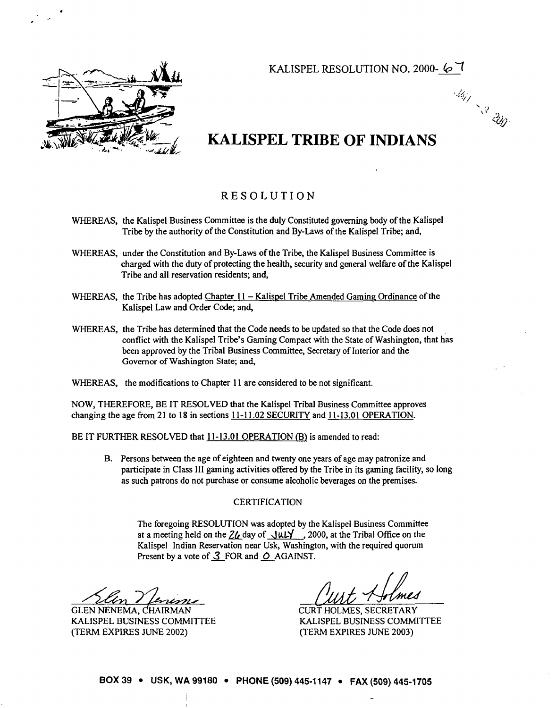KALISPEL RESOLUTION NO. 2000- 67

Mille Card Cape



# **KALISPEL TRIBE OF INDIANS**

### RESOLUTION

- WHEREAS, the Kalispel Business Committee is the duly Constituted governing body of the Kalispel Tribe by the authority of the Constitution and By-Laws of the Kalispel Tribe; and,
- WHEREAS, under the Constitution and By-Laws of the Tribe, the Kalispel Business Committee is charged with the duty of protecting the health, security and general welfare of the Kalispel Tribe and all reservation residents; and,
- WHEREAS, the Tribe has adopted Chapter  $11 -$ Kalispel Tribe Amended Gaming Ordinance of the Kalispel Law and Order Code; and,
- WHEREAS, the Tribe has determined that the Code needs to be updated so that the Code does not conflict with the Kalispel Tribe's Gaming Compact with the State of Washington, that has been approved by the Tribal Business Committee, Secretary of Interior and the Governor of Washington State; and,
- WHEREAS, the modifications to Chapter 11 are considered to be not significant.

NOW, THEREFORE, BE IT RESOLVED that the Kalispel Tribal Business Committee approves changing the age from 21 to 18 in sections  $11-11.02$  SECURITY and  $11-13.01$  OPERATION.

BE IT FURTHER RESOLVED that 11-13.01 OPERATION (B) is amended to read:

B. Persons between the age of eighteen and twenty one years of age may patronize and participate in Class 111 gaming activities offered by the Tribe in its gaming facility, so long as such patrons do not purchase or consume alcoholic beverages on the premises.

#### **CERTIFICATION**

The foregoing RESOLUTION was adopted by the Kalispel Business Committee at a meeting held on the  $24$  day of  $\frac{1}{12}$ , 2000, at the Tribal Office on the Kalispel Indian Reservation near Usk, Washington, with the required quorum Present by a vote of 3 FOR and O AGAINST.

GLEN NENEMA, CHAIRMAN KALISPEL BUSINESS COMMITTEE (TERM EXPIRES JUNE 2002)

CURT HOLMES, SECRETARY KALISPEL BUSMESS COMMITTEE (TERM EXPIRES JUNE 2003)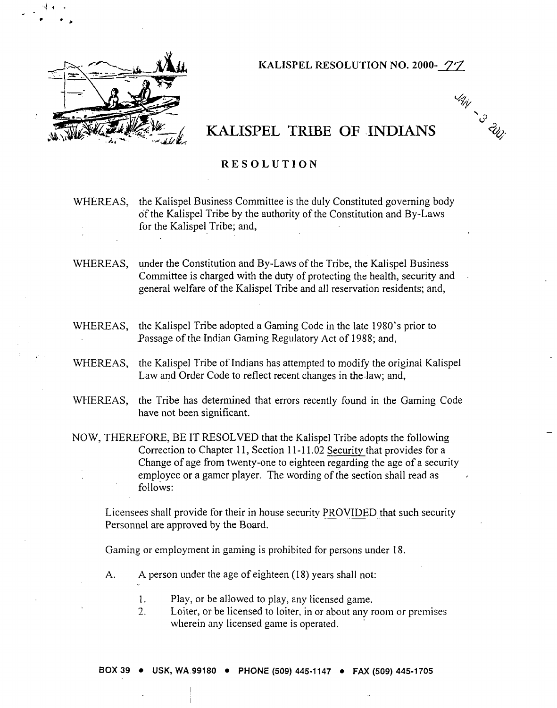

**KALISPEL RESOLUTION NO. 2000-** 7'7

**VAN**<br>- S - 2001

# **KALISPEL** TRIBE OF **INDIANS**

### **RESOLUTION**

WHEREAS, the Kalispel Business Committee is the duly Constituted governing body of the Kalispel Tribe by the authority of the Constitution and By-Laws for the Kalispel Tribe; and,

WHEREAS, under the Constitution and By-Laws of the Tribe, the Kalispel Business Committee is charged with the duty of protecting the health, security and . general welfare of the Kalispel Tribe and all reservation residents; and,

WHEREAS, the Kalispel Tribe adopted a Gaming Code in the late 1980's prior to .Passage of the Indian Gaming Regulatory Act of 1988; and,

WHEREAS, the Kalispel Tribe of Indians has attempted to modify the original Kalispel Law and Order Code to reflect recent changes in the law; and,

WHEREAS, the Tribe has determined that errors recently found in the Gaming Code have not been significant.

NOW, THEREFORE, BE IT RESOLVED that the Kalispel Tribe adopts the following Correction to Chapter 11, Section 11-11.02 Security that provides for a Change of age from twenty-one to eighteen regarding the age of a security employee or a gamer player. The wording of the section shall read as follows:

Licensees shall provide for their in house security PROVIDED that such security Personnel are approved by the Board.

Gaming or employment in gaming is prohibited for persons under 18.

- A. A person under the age of eighteen (18) years shall not:
	- 1. Play, or be allowed to play, any licensed game.
	- 2. Loiter, or be licensed to loiter, in or about any room or premises wherein any licensed game is operated.